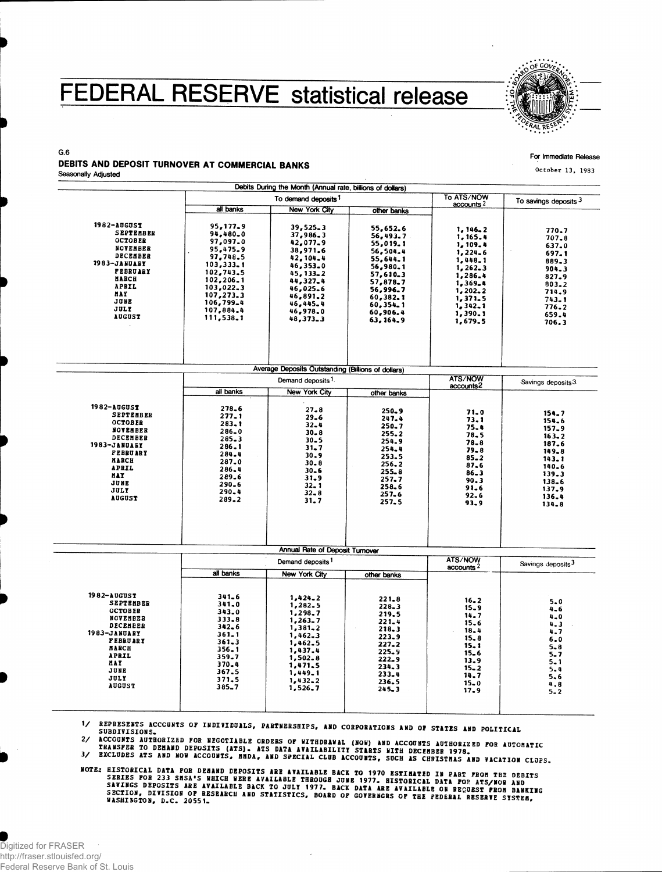## FEDERAL RESERVE statistical release



For Immediate Release

**October 13, 1983**

## G.6 DEBITS AND DEPOSIT TURNOVER AT COMMERCIAL BANKS Seasonally Adjusted

 $\blacksquare$ 

|                     |           | Debits During the Month (Annual rate, billions of dollars) |                                     |                                         |                               |
|---------------------|-----------|------------------------------------------------------------|-------------------------------------|-----------------------------------------|-------------------------------|
|                     |           | To demand deposits <sup>1</sup>                            | To ATS/NOW<br>accounts <sup>2</sup> | To savings deposits 3                   |                               |
|                     | all banks | <b>New York City</b>                                       | other banks                         |                                         |                               |
| 1982-AUGUST         | 95,177.9  |                                                            |                                     |                                         |                               |
| <b>SEPTEMBER</b>    | 94,480.0  | 39,525.3<br>37,986.3                                       | 55,652.6                            | 1, 146, 2                               | 770.7                         |
| <b>OCTOBER</b>      | 97,097.0  | 42,077.9                                                   | 56,493.7                            | 1,165.4                                 | 707.8                         |
| NCVEMBER            | 95,475.9  | 38,971.6                                                   | 55,019.1                            | 1, 109.4                                | 637.0                         |
| DECEMBER            | 97,748.5  |                                                            | 56,504.4                            | 1,224.6                                 | 697.1                         |
| <b>1983-JANUARY</b> | 103,333.1 | 42,104.4<br>46,353.0                                       | 55,644.1                            | 1,448.1                                 | 889.3                         |
| <b>FEBRUARY</b>     | 102,743.5 | 45, 133, 2                                                 | 56,980.1                            | 1, 262, 3                               | 904.3                         |
| MARCH               | 102,206.1 |                                                            | 57,610.3                            | 1,286.4                                 | 827.9                         |
| APRIL               | 103,022.3 | 44,327.4<br>46,025.6                                       | 57,878.7                            | 1,369.4                                 | $803 - 2$                     |
| <b>NAY</b>          | 107,273.3 | 46,891.2                                                   | 56,996.7                            | 1,202,2                                 | 714.9                         |
| JUNE                | 106,799.4 | 46,445.4                                                   | 60,382.1                            | 1,371.5                                 | 743.1                         |
| JULY                | 107,884.4 |                                                            | 60,354.1                            | 1, 342, 1                               | 776.2                         |
| <b>AUGUST</b>       | 111,538.1 | 46,978.0<br>48,373.3                                       | 60,906.4                            | 1,390.1                                 | 659.4                         |
|                     |           |                                                            | 63, 164, 9                          | 1,679.5                                 | 706.3                         |
|                     |           | Average Deposits Outstanding (Billions of dollars)         |                                     |                                         |                               |
|                     |           | Demand deposits <sup>1</sup>                               |                                     | <b>ATS/NOW</b><br>accounts <sup>2</sup> | Savings deposits 3            |
|                     | all banks | <b>New York City</b>                                       | other banks                         |                                         |                               |
|                     |           |                                                            |                                     |                                         |                               |
| 1982-AUGUST         | 278.6     | $27 - 8$                                                   | $250 - 9$                           | 71.0                                    | 154.7                         |
| <b>SEPTEMBER</b>    | 277.1     | 29.6                                                       | $247 - 4$                           | 73.1                                    | 154.6                         |
| <b>OCTOBER</b>      | $283 - 1$ | $32 - 4$                                                   | 250.7                               | 75.4                                    | 157.9                         |
| NOVEMBER            | 286.0     | $30 - 8$                                                   | 255.2                               | 78.5                                    | $163 - 2$                     |
| DECEMBER            | $285 - 3$ | $30 - 5$                                                   | 254.9                               | 78.8                                    | 187.6                         |
| 1983-ЈАНОАБУ        | 286.1     | 31.7                                                       | 254.4                               | $79 - 8$                                | $149 - 8$                     |
| <b>FEBRUARY</b>     | 284.4     | 30.9                                                       | 253.5                               | $85 - 2$                                | 143.1                         |
| <b>NARCH</b>        | 287.0     | $30 - 8$                                                   | $256 - 2$                           | 87.6                                    | 140.6                         |
| <b>APRIL</b>        | 286.4     | $30 - 6$                                                   | $255 - 8$                           | $86 - 3$                                | 139.3                         |
| MAY                 | 289.6     | 31.9                                                       | 257.7                               | 90.3                                    | 138.6                         |
| JUNE                | 290.6     | $32 - 1$                                                   | 258.6                               | $91 - 6$                                | 137.9                         |
| JULY                | 290.4     | $32 - 8$                                                   | 257.6                               | $92 - 6$                                | 136.4                         |
| <b>AUGUST</b>       | 289.2     | 31.7                                                       | 257.5                               | 93.9                                    | $134 - 8$                     |
|                     |           |                                                            |                                     |                                         |                               |
|                     |           | Annual Rate of Deposit Turnover                            |                                     | <b>ATS/NOW</b>                          |                               |
|                     | all banks | Demand deposits <sup>1</sup>                               |                                     | accounts <sup>2</sup>                   | Savings deposits <sup>3</sup> |
|                     |           | New York City                                              | other banks                         |                                         |                               |
| 1982-AUGUST         | 341.6     | 1,424.2                                                    | $221 - 8$                           |                                         |                               |
| <b>SEPTEMBER</b>    | 341.0     | 1,282.5                                                    | $228 - 3$                           | $16 - 2$                                | $5 - 0$                       |
| <b>OCTOBER</b>      | 343.0     | 1,298.7                                                    | 219.5                               | 15.9                                    | $4 - 6$                       |
| NOVEMBER            | 333.8     | 1,263,7                                                    | 221.4                               | 14.7                                    | 4.0                           |
| DECEMBER            | $342 - 6$ | $1,381 - 2$                                                | $218 - 3$                           | $15 - 6$                                | $4 - 3$                       |
| 1983-ЈАНОАВУ        | $361 - 1$ | 1,462.3                                                    | 223.9                               | $18 - 4$<br>15.8                        | 4.7                           |
| <b>FEBRUARY</b>     | $361 - 3$ | 1,462.5                                                    | 227.2                               | 15.1                                    | $6 - 0$                       |
| <b>MARCH</b>        | 356.1     | 1,437.4                                                    | $225 - 9$                           | $15 - 6$                                | $5 - 8$                       |
| <b>APRIL</b>        | 359.7     | 1,502.8                                                    | 222.9                               | 13.9                                    | $5 - 7$                       |
| MAY                 | 370.4     | 1,471.5                                                    | 234.3                               | 15.2                                    | $5 - 1$<br>$5 - 4$            |
| JUNE                | 367.5     | 1,449.1                                                    | 233.4                               | 14.7                                    | $5 - 6$                       |
| JULY                | 371.5     | 1,432,2                                                    | 236.5                               | $15 - 0$                                | 4.8                           |
| <b>AUGUST</b>       | 385.7     | 1,526.7                                                    | $245 - 3$                           | 17.9                                    | $5 - 2$                       |
|                     |           |                                                            |                                     |                                         |                               |
|                     |           |                                                            |                                     |                                         |                               |

" SUPPLYSTIC ACCOUNTS OF INDIVIDUALS, PANTNERSHIPS, AND CORPORATIONS AND OF STATES AND POLITICAL

SUBDIVISIONS.<br>2/ ACCOUNTS AUTHORIZED FOR NEGOTIABLE ORDERS OF WITHDRAWAL (NOW) AND ACCOUNTS AUTHORIZED FOR AUTOMATIC<br>TRANSFER TO DEMAND DEPOSITS (ATS). ATS DATA AVAILABILITY STARTS WITH DECEMBER 1978.<br>3/ EXCLUDES ATS AND N

NOTE: HISTORICAL DATA FOR DEMAND DEPOSITS ARE AVAILABLE BACK TO 1970 ESTIMATED IN PART FROM THE DEBITS<br>SERIES FOR 233 SMSA'S WHICH WERE AVAILABLE THROUGH JUNE 1977. HISTORICAL DATA FOR ATS/NOW AND<br>SAVINGS DEPOSITS ARE AVAI

 $\bar{z}$